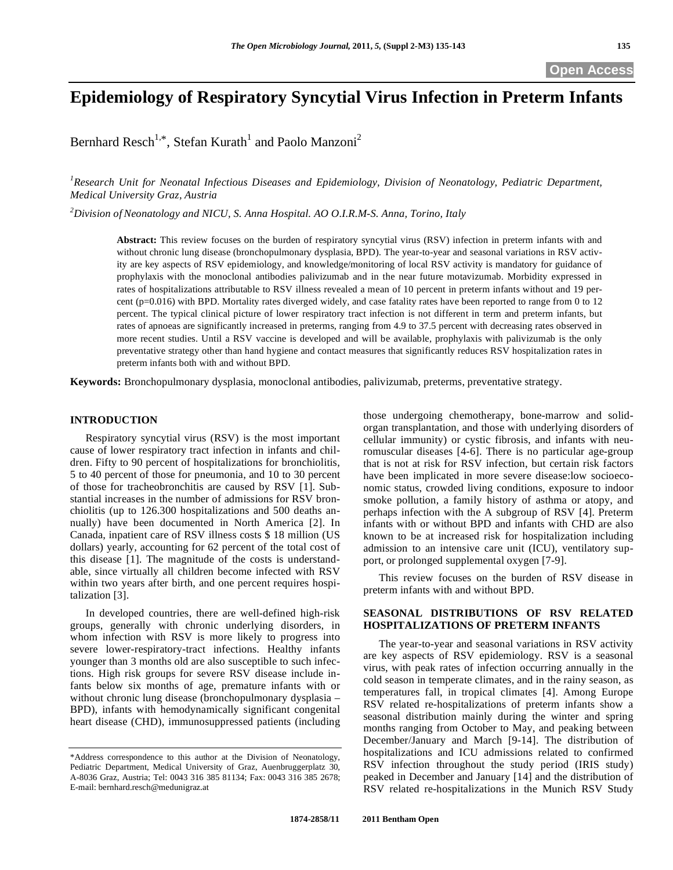# **Epidemiology of Respiratory Syncytial Virus Infection in Preterm Infants**

Bernhard Resch<sup>1,\*</sup>, Stefan Kurath<sup>1</sup> and Paolo Manzoni<sup>2</sup>

<sup>1</sup> Research Unit for Neonatal Infectious Diseases and Epidemiology, Division of Neonatology, Pediatric Department, *Medical University Graz, Austria* 

*2 Division ofNeonatology and NICU, S. Anna Hospital. AO O.I.R.M-S. Anna, Torino, Italy* 

**Abstract:** This review focuses on the burden of respiratory syncytial virus (RSV) infection in preterm infants with and without chronic lung disease (bronchopulmonary dysplasia, BPD). The year-to-year and seasonal variations in RSV activity are key aspects of RSV epidemiology, and knowledge/monitoring of local RSV activity is mandatory for guidance of prophylaxis with the monoclonal antibodies palivizumab and in the near future motavizumab. Morbidity expressed in rates of hospitalizations attributable to RSV illness revealed a mean of 10 percent in preterm infants without and 19 percent (p=0.016) with BPD. Mortality rates diverged widely, and case fatality rates have been reported to range from 0 to 12 percent. The typical clinical picture of lower respiratory tract infection is not different in term and preterm infants, but rates of apnoeas are significantly increased in preterms, ranging from 4.9 to 37.5 percent with decreasing rates observed in more recent studies. Until a RSV vaccine is developed and will be available, prophylaxis with palivizumab is the only preventative strategy other than hand hygiene and contact measures that significantly reduces RSV hospitalization rates in preterm infants both with and without BPD.

**Keywords:** Bronchopulmonary dysplasia, monoclonal antibodies, palivizumab, preterms, preventative strategy.

### **INTRODUCTION**

 Respiratory syncytial virus (RSV) is the most important cause of lower respiratory tract infection in infants and children. Fifty to 90 percent of hospitalizations for bronchiolitis, 5 to 40 percent of those for pneumonia, and 10 to 30 percent of those for tracheobronchitis are caused by RSV [1]. Substantial increases in the number of admissions for RSV bronchiolitis (up to 126.300 hospitalizations and 500 deaths annually) have been documented in North America [2]. In Canada, inpatient care of RSV illness costs \$ 18 million (US dollars) yearly, accounting for 62 percent of the total cost of this disease [1]. The magnitude of the costs is understandable, since virtually all children become infected with RSV within two years after birth, and one percent requires hospitalization [3].

 In developed countries, there are well-defined high-risk groups, generally with chronic underlying disorders, in whom infection with RSV is more likely to progress into severe lower-respiratory-tract infections. Healthy infants younger than 3 months old are also susceptible to such infections. High risk groups for severe RSV disease include infants below six months of age, premature infants with or without chronic lung disease (bronchopulmonary dysplasia – BPD), infants with hemodynamically significant congenital heart disease (CHD), immunosuppressed patients (including those undergoing chemotherapy, bone-marrow and solidorgan transplantation, and those with underlying disorders of cellular immunity) or cystic fibrosis, and infants with neuromuscular diseases [4-6]. There is no particular age-group that is not at risk for RSV infection, but certain risk factors have been implicated in more severe disease:low socioeconomic status, crowded living conditions, exposure to indoor smoke pollution, a family history of asthma or atopy, and perhaps infection with the A subgroup of RSV [4]. Preterm infants with or without BPD and infants with CHD are also known to be at increased risk for hospitalization including admission to an intensive care unit (ICU), ventilatory support, or prolonged supplemental oxygen [7-9].

 This review focuses on the burden of RSV disease in preterm infants with and without BPD.

# **SEASONAL DISTRIBUTIONS OF RSV RELATED HOSPITALIZATIONS OF PRETERM INFANTS**

 The year-to-year and seasonal variations in RSV activity are key aspects of RSV epidemiology. RSV is a seasonal virus, with peak rates of infection occurring annually in the cold season in temperate climates, and in the rainy season, as temperatures fall, in tropical climates [4]. Among Europe RSV related re-hospitalizations of preterm infants show a seasonal distribution mainly during the winter and spring months ranging from October to May, and peaking between December/January and March [9-14]. The distribution of hospitalizations and ICU admissions related to confirmed RSV infection throughout the study period (IRIS study) peaked in December and January [14] and the distribution of RSV related re-hospitalizations in the Munich RSV Study

<sup>\*</sup>Address correspondence to this author at the Division of Neonatology, Pediatric Department, Medical University of Graz, Auenbruggerplatz 30, A-8036 Graz, Austria; Tel: 0043 316 385 81134; Fax: 0043 316 385 2678; E-mail: bernhard.resch@medunigraz.at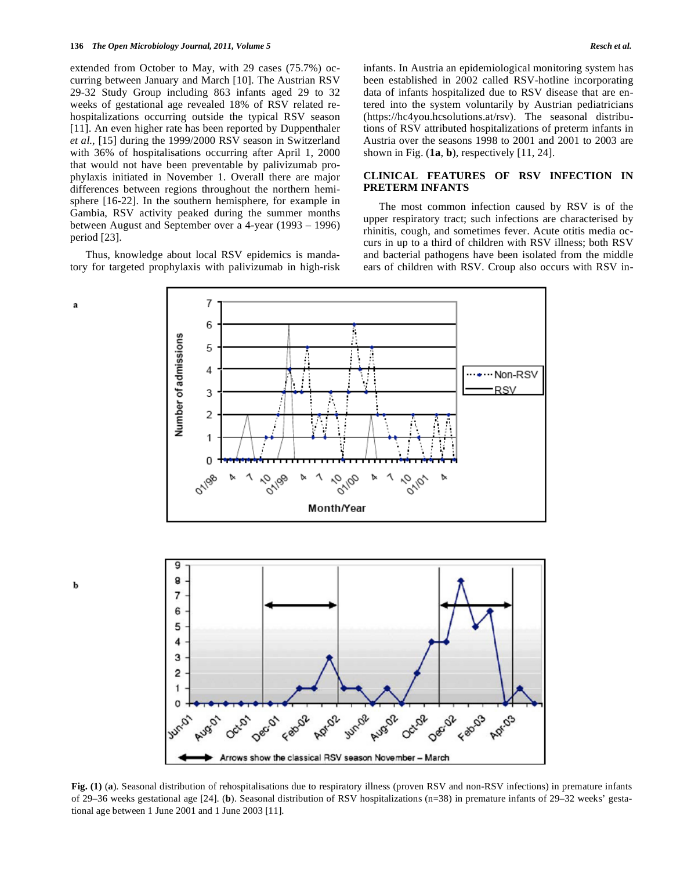extended from October to May, with 29 cases (75.7%) occurring between January and March [10]. The Austrian RSV 29-32 Study Group including 863 infants aged 29 to 32 weeks of gestational age revealed 18% of RSV related rehospitalizations occurring outside the typical RSV season [11]. An even higher rate has been reported by Duppenthaler *et al.,* [15] during the 1999/2000 RSV season in Switzerland with 36% of hospitalisations occurring after April 1, 2000 that would not have been preventable by palivizumab prophylaxis initiated in November 1. Overall there are major differences between regions throughout the northern hemisphere [16-22]. In the southern hemisphere, for example in Gambia, RSV activity peaked during the summer months between August and September over a 4-year (1993 – 1996) period [23].

 Thus, knowledge about local RSV epidemics is mandatory for targeted prophylaxis with palivizumab in high-risk

a

 $\mathbf{h}$ 

infants. In Austria an epidemiological monitoring system has been established in 2002 called RSV-hotline incorporating data of infants hospitalized due to RSV disease that are entered into the system voluntarily by Austrian pediatricians (https://hc4you.hcsolutions.at/rsv). The seasonal distributions of RSV attributed hospitalizations of preterm infants in Austria over the seasons 1998 to 2001 and 2001 to 2003 are shown in Fig.  $(1a, b)$ , respectively  $[11, 24]$ .

## **CLINICAL FEATURES OF RSV INFECTION IN PRETERM INFANTS**

 The most common infection caused by RSV is of the upper respiratory tract; such infections are characterised by rhinitis, cough, and sometimes fever. Acute otitis media occurs in up to a third of children with RSV illness; both RSV and bacterial pathogens have been isolated from the middle ears of children with RSV. Croup also occurs with RSV in-



**Fig. (1)** (**a**). Seasonal distribution of rehospitalisations due to respiratory illness (proven RSV and non-RSV infections) in premature infants of 29–36 weeks gestational age [24]. (**b**). Seasonal distribution of RSV hospitalizations (n=38) in premature infants of 29–32 weeks' gestational age between 1 June 2001 and 1 June 2003 [11].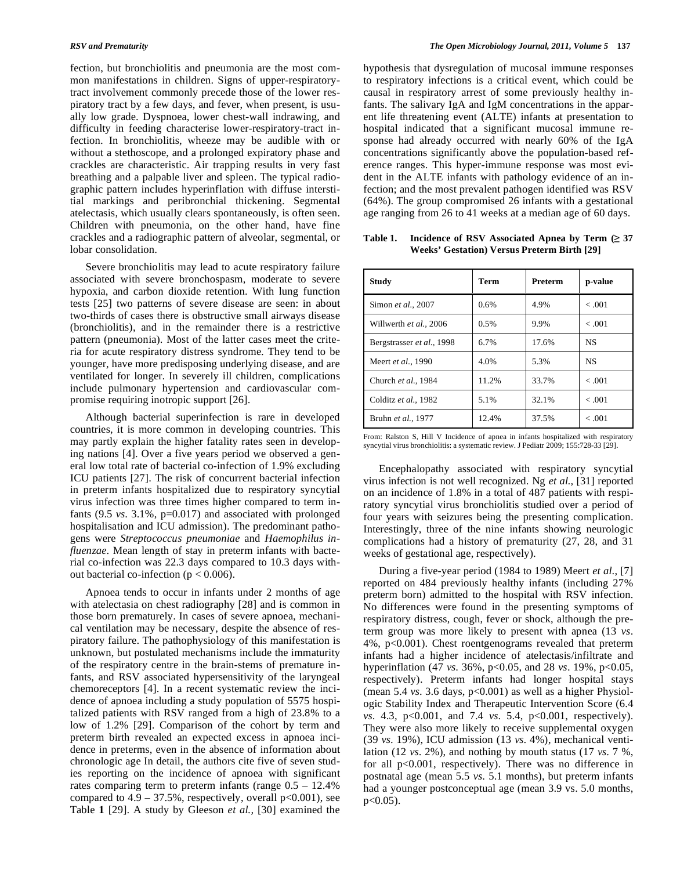fection, but bronchiolitis and pneumonia are the most common manifestations in children. Signs of upper-respiratorytract involvement commonly precede those of the lower respiratory tract by a few days, and fever, when present, is usually low grade. Dyspnoea, lower chest-wall indrawing, and difficulty in feeding characterise lower-respiratory-tract infection. In bronchiolitis, wheeze may be audible with or without a stethoscope, and a prolonged expiratory phase and crackles are characteristic. Air trapping results in very fast breathing and a palpable liver and spleen. The typical radiographic pattern includes hyperinflation with diffuse interstitial markings and peribronchial thickening. Segmental atelectasis, which usually clears spontaneously, is often seen. Children with pneumonia, on the other hand, have fine crackles and a radiographic pattern of alveolar, segmental, or lobar consolidation.

 Severe bronchiolitis may lead to acute respiratory failure associated with severe bronchospasm, moderate to severe hypoxia, and carbon dioxide retention. With lung function tests [25] two patterns of severe disease are seen: in about two-thirds of cases there is obstructive small airways disease (bronchiolitis), and in the remainder there is a restrictive pattern (pneumonia). Most of the latter cases meet the criteria for acute respiratory distress syndrome. They tend to be younger, have more predisposing underlying disease, and are ventilated for longer. In severely ill children, complications include pulmonary hypertension and cardiovascular compromise requiring inotropic support [26].

 Although bacterial superinfection is rare in developed countries, it is more common in developing countries. This may partly explain the higher fatality rates seen in developing nations [4]. Over a five years period we observed a general low total rate of bacterial co-infection of 1.9% excluding ICU patients [27]. The risk of concurrent bacterial infection in preterm infants hospitalized due to respiratory syncytial virus infection was three times higher compared to term infants (9.5 *vs*. 3.1%, p=0.017) and associated with prolonged hospitalisation and ICU admission). The predominant pathogens were *Streptococcus pneumoniae* and *Haemophilus influenzae*. Mean length of stay in preterm infants with bacterial co-infection was 22.3 days compared to 10.3 days without bacterial co-infection ( $p < 0.006$ ).

 Apnoea tends to occur in infants under 2 months of age with atelectasia on chest radiography [28] and is common in those born prematurely. In cases of severe apnoea, mechanical ventilation may be necessary, despite the absence of respiratory failure. The pathophysiology of this manifestation is unknown, but postulated mechanisms include the immaturity of the respiratory centre in the brain-stems of premature infants, and RSV associated hypersensitivity of the laryngeal chemoreceptors [4]. In a recent systematic review the incidence of apnoea including a study population of 5575 hospitalized patients with RSV ranged from a high of 23.8% to a low of 1.2% [29]. Comparison of the cohort by term and preterm birth revealed an expected excess in apnoea incidence in preterms, even in the absence of information about chronologic age In detail, the authors cite five of seven studies reporting on the incidence of apnoea with significant rates comparing term to preterm infants (range 0.5 – 12.4% compared to  $4.9 - 37.5\%$ , respectively, overall  $p<0.001$ ), see Table **1** [29]. A study by Gleeson *et al.,* [30] examined the hypothesis that dysregulation of mucosal immune responses to respiratory infections is a critical event, which could be causal in respiratory arrest of some previously healthy infants. The salivary IgA and IgM concentrations in the apparent life threatening event (ALTE) infants at presentation to hospital indicated that a significant mucosal immune response had already occurred with nearly 60% of the IgA concentrations significantly above the population-based reference ranges. This hyper-immune response was most evident in the ALTE infants with pathology evidence of an infection; and the most prevalent pathogen identified was RSV (64%). The group compromised 26 infants with a gestational age ranging from 26 to 41 weeks at a median age of 60 days.

**Table 1. Incidence of RSV Associated Apnea by Term ( 37 Weeks' Gestation) Versus Preterm Birth [29]** 

| <b>Study</b>              | <b>Term</b> | Preterm | p-value   |
|---------------------------|-------------|---------|-----------|
| Simon et al., 2007        | 0.6%        | 4.9%    | < .001    |
| Willwerth et al., 2006    | 0.5%        | 9.9%    | < .001    |
| Bergstrasser et al., 1998 | $6.7\%$     | 17.6%   | NS        |
| Meert et al., 1990        | 4.0%        | 5.3%    | <b>NS</b> |
| Church et al., 1984       | 11.2%       | 33.7%   | < .001    |
| Colditz et al., 1982      | 5.1%        | 32.1%   | < .001    |
| Bruhn et al., 1977        | 12.4%       | 37.5%   | < .001    |

From: Ralston S, Hill V Incidence of apnea in infants hospitalized with respiratory syncytial virus bronchiolitis: a systematic review. J Pediatr 2009; 155:728-33 [29].

 Encephalopathy associated with respiratory syncytial virus infection is not well recognized. Ng *et al.,* [31] reported on an incidence of 1.8% in a total of 487 patients with respiratory syncytial virus bronchiolitis studied over a period of four years with seizures being the presenting complication. Interestingly, three of the nine infants showing neurologic complications had a history of prematurity (27, 28, and 31 weeks of gestational age, respectively).

 During a five-year period (1984 to 1989) Meert *et al*., [7] reported on 484 previously healthy infants (including 27% preterm born) admitted to the hospital with RSV infection. No differences were found in the presenting symptoms of respiratory distress, cough, fever or shock, although the preterm group was more likely to present with apnea (13 *vs*. 4%, p<0.001). Chest roentgenograms revealed that preterm infants had a higher incidence of atelectasis/infiltrate and hyperinflation (47 *vs*. 36%, p<0.05, and 28 *vs*. 19%, p<0.05, respectively). Preterm infants had longer hospital stays (mean 5.4 *vs*. 3.6 days, p<0.001) as well as a higher Physiologic Stability Index and Therapeutic Intervention Score (6.4 *vs*. 4.3, p<0.001, and 7.4 *vs*. 5.4, p<0.001, respectively). They were also more likely to receive supplemental oxygen (39 *vs*. 19%), ICU admission (13 *vs*. 4%), mechanical ventilation (12 *vs*. 2%), and nothing by mouth status (17 *vs*. 7 %, for all p<0.001, respectively). There was no difference in postnatal age (mean 5.5 *vs*. 5.1 months), but preterm infants had a younger postconceptual age (mean 3.9 vs. 5.0 months,  $p < 0.05$ ).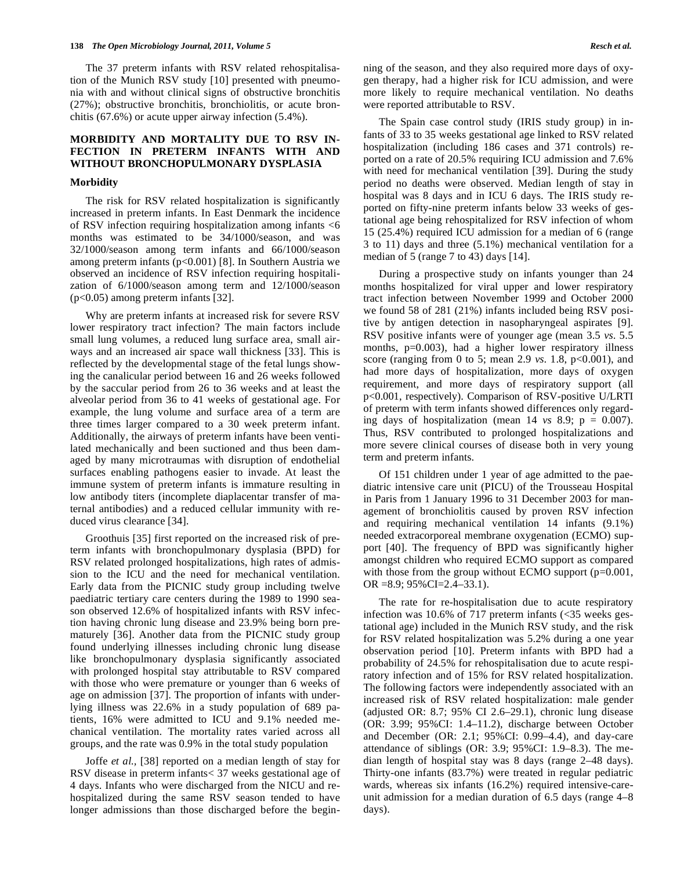The 37 preterm infants with RSV related rehospitalisation of the Munich RSV study [10] presented with pneumonia with and without clinical signs of obstructive bronchitis (27%); obstructive bronchitis, bronchiolitis, or acute bronchitis (67.6%) or acute upper airway infection (5.4%).

# **MORBIDITY AND MORTALITY DUE TO RSV IN-FECTION IN PRETERM INFANTS WITH AND WITHOUT BRONCHOPULMONARY DYSPLASIA**

#### **Morbidity**

 The risk for RSV related hospitalization is significantly increased in preterm infants. In East Denmark the incidence of RSV infection requiring hospitalization among infants <6 months was estimated to be 34/1000/season, and was 32/1000/season among term infants and 66/1000/season among preterm infants (p<0.001) [8]. In Southern Austria we observed an incidence of RSV infection requiring hospitalization of 6/1000/season among term and 12/1000/season (p<0.05) among preterm infants [32].

 Why are preterm infants at increased risk for severe RSV lower respiratory tract infection? The main factors include small lung volumes, a reduced lung surface area, small airways and an increased air space wall thickness [33]. This is reflected by the developmental stage of the fetal lungs showing the canalicular period between 16 and 26 weeks followed by the saccular period from 26 to 36 weeks and at least the alveolar period from 36 to 41 weeks of gestational age. For example, the lung volume and surface area of a term are three times larger compared to a 30 week preterm infant. Additionally, the airways of preterm infants have been ventilated mechanically and been suctioned and thus been damaged by many microtraumas with disruption of endothelial surfaces enabling pathogens easier to invade. At least the immune system of preterm infants is immature resulting in low antibody titers (incomplete diaplacentar transfer of maternal antibodies) and a reduced cellular immunity with reduced virus clearance [34].

 Groothuis [35] first reported on the increased risk of preterm infants with bronchopulmonary dysplasia (BPD) for RSV related prolonged hospitalizations, high rates of admission to the ICU and the need for mechanical ventilation. Early data from the PICNIC study group including twelve paediatric tertiary care centers during the 1989 to 1990 season observed 12.6% of hospitalized infants with RSV infection having chronic lung disease and 23.9% being born prematurely [36]. Another data from the PICNIC study group found underlying illnesses including chronic lung disease like bronchopulmonary dysplasia significantly associated with prolonged hospital stay attributable to RSV compared with those who were premature or younger than 6 weeks of age on admission [37]. The proportion of infants with underlying illness was 22.6% in a study population of 689 patients, 16% were admitted to ICU and 9.1% needed mechanical ventilation. The mortality rates varied across all groups, and the rate was 0.9% in the total study population

 Joffe *et al.,* [38] reported on a median length of stay for RSV disease in preterm infants< 37 weeks gestational age of 4 days. Infants who were discharged from the NICU and rehospitalized during the same RSV season tended to have longer admissions than those discharged before the begin-

 The Spain case control study (IRIS study group) in infants of 33 to 35 weeks gestational age linked to RSV related hospitalization (including 186 cases and 371 controls) reported on a rate of 20.5% requiring ICU admission and 7.6% with need for mechanical ventilation [39]. During the study period no deaths were observed. Median length of stay in hospital was 8 days and in ICU 6 days. The IRIS study reported on fifty-nine preterm infants below 33 weeks of gestational age being rehospitalized for RSV infection of whom 15 (25.4%) required ICU admission for a median of 6 (range 3 to 11) days and three (5.1%) mechanical ventilation for a median of 5 (range 7 to 43) days [14].

 During a prospective study on infants younger than 24 months hospitalized for viral upper and lower respiratory tract infection between November 1999 and October 2000 we found 58 of 281 (21%) infants included being RSV positive by antigen detection in nasopharyngeal aspirates [9]. RSV positive infants were of younger age (mean 3.5 *vs*. 5.5 months, p=0.003), had a higher lower respiratory illness score (ranging from 0 to 5; mean 2.9 *vs*. 1.8, p<0.001), and had more days of hospitalization, more days of oxygen requirement, and more days of respiratory support (all p<0.001, respectively). Comparison of RSV-positive U/LRTI of preterm with term infants showed differences only regarding days of hospitalization (mean  $14$  *vs* 8.9;  $p = 0.007$ ). Thus, RSV contributed to prolonged hospitalizations and more severe clinical courses of disease both in very young term and preterm infants.

 Of 151 children under 1 year of age admitted to the paediatric intensive care unit (PICU) of the Trousseau Hospital in Paris from 1 January 1996 to 31 December 2003 for management of bronchiolitis caused by proven RSV infection and requiring mechanical ventilation 14 infants (9.1%) needed extracorporeal membrane oxygenation (ECMO) support [40]. The frequency of BPD was significantly higher amongst children who required ECMO support as compared with those from the group without ECMO support (p=0.001, OR =8.9; 95%CI=2.4–33.1).

 The rate for re-hospitalisation due to acute respiratory infection was 10.6% of 717 preterm infants  $\langle$  <35 weeks gestational age) included in the Munich RSV study, and the risk for RSV related hospitalization was 5.2% during a one year observation period [10]. Preterm infants with BPD had a probability of 24.5% for rehospitalisation due to acute respiratory infection and of 15% for RSV related hospitalization. The following factors were independently associated with an increased risk of RSV related hospitalization: male gender (adjusted OR: 8.7; 95% CI 2.6–29.1), chronic lung disease (OR: 3.99; 95%CI: 1.4–11.2), discharge between October and December (OR: 2.1; 95%CI: 0.99–4.4), and day-care attendance of siblings (OR: 3.9; 95%CI: 1.9–8.3). The median length of hospital stay was 8 days (range 2–48 days). Thirty-one infants (83.7%) were treated in regular pediatric wards, whereas six infants (16.2%) required intensive-careunit admission for a median duration of 6.5 days (range 4–8 days).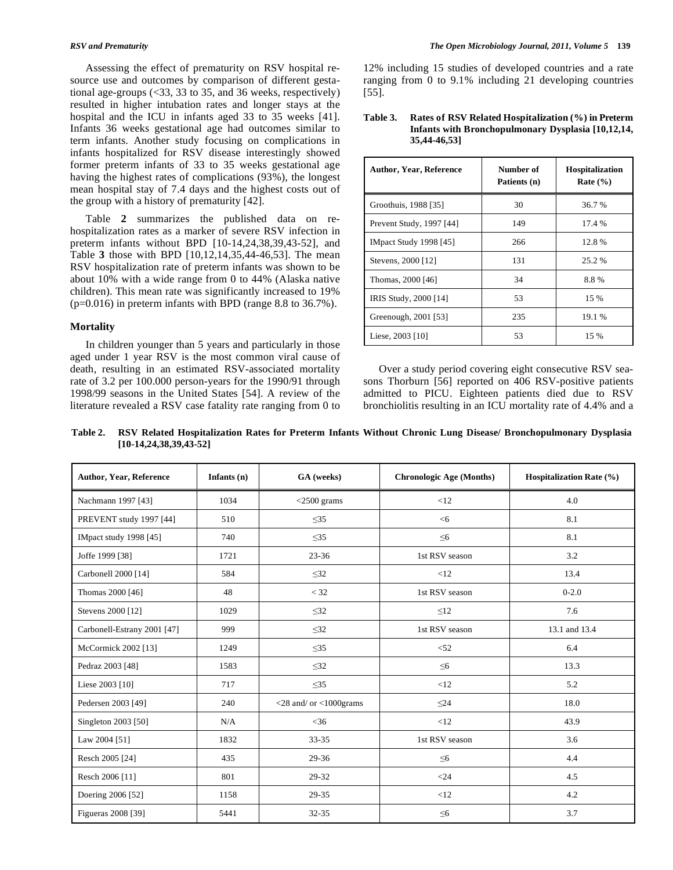Assessing the effect of prematurity on RSV hospital resource use and outcomes by comparison of different gestational age-groups (<33, 33 to 35, and 36 weeks, respectively) resulted in higher intubation rates and longer stays at the hospital and the ICU in infants aged 33 to 35 weeks [41]. Infants 36 weeks gestational age had outcomes similar to term infants. Another study focusing on complications in infants hospitalized for RSV disease interestingly showed former preterm infants of 33 to 35 weeks gestational age having the highest rates of complications (93%), the longest mean hospital stay of 7.4 days and the highest costs out of the group with a history of prematurity [42].

 Table **2** summarizes the published data on rehospitalization rates as a marker of severe RSV infection in preterm infants without BPD [10-14,24,38,39,43-52], and Table **3** those with BPD [10,12,14,35,44-46,53]. The mean RSV hospitalization rate of preterm infants was shown to be about 10% with a wide range from 0 to 44% (Alaska native children). This mean rate was significantly increased to 19% (p=0.016) in preterm infants with BPD (range 8.8 to 36.7%).

### **Mortality**

 In children younger than 5 years and particularly in those aged under 1 year RSV is the most common viral cause of death, resulting in an estimated RSV-associated mortality rate of 3.2 per 100.000 person-years for the 1990/91 through 1998/99 seasons in the United States [54]. A review of the literature revealed a RSV case fatality rate ranging from 0 to 12% including 15 studies of developed countries and a rate ranging from 0 to 9.1% including 21 developing countries [55].

**Table 3. Rates of RSV Related Hospitalization (%) in Preterm Infants with Bronchopulmonary Dysplasia [10,12,14, 35,44-46,53]** 

| <b>Author, Year, Reference</b> | Number of<br>Patients (n) | Hospitalization<br>Rate $(\% )$ |
|--------------------------------|---------------------------|---------------------------------|
| Groothuis, 1988 [35]           | 30                        | 36.7 %                          |
| Prevent Study, 1997 [44]       | 149                       | 17.4 %                          |
| <b>IMpact Study 1998</b> [45]  | 266                       | 12.8%                           |
| Stevens, 2000 [12]             | 131                       | 25.2 %                          |
| Thomas, 2000 [46]              | 34                        | 8.8%                            |
| IRIS Study, 2000 [14]          | 53                        | 15 %                            |
| Greenough, 2001 [53]           | 235                       | 19.1 %                          |
| Liese, 2003 [10]               | 53                        | 15 %                            |

 Over a study period covering eight consecutive RSV seasons Thorburn [56] reported on 406 RSV-positive patients admitted to PICU. Eighteen patients died due to RSV bronchiolitis resulting in an ICU mortality rate of 4.4% and a

**Table 2. RSV Related Hospitalization Rates for Preterm Infants Without Chronic Lung Disease/ Bronchopulmonary Dysplasia [10-14,24,38,39,43-52]** 

| <b>Author, Year, Reference</b> | Infants $(n)$ | GA (weeks)                   | <b>Chronologic Age (Months)</b> | <b>Hospitalization Rate (%)</b> |
|--------------------------------|---------------|------------------------------|---------------------------------|---------------------------------|
| Nachmann 1997 [43]             | 1034          | $<$ 2500 grams               | <12                             | 4.0                             |
| PREVENT study 1997 [44]        | 510           | $\leq$ 35                    | <6                              | 8.1                             |
| IMpact study 1998 [45]         | 740           | $\leq$ 35                    | $\leq 6$                        | 8.1                             |
| Joffe 1999 [38]                | 1721          | $23 - 36$                    | 1st RSV season                  | 3.2                             |
| Carbonell 2000 [14]            | 584           | $\leq$ 32                    | <12                             | 13.4                            |
| Thomas 2000 [46]               | 48            | $<$ 32                       | 1st RSV season                  | $0 - 2.0$                       |
| Stevens 2000 [12]              | 1029          | $\leq$ 32                    | $\leq 12$                       | 7.6                             |
| Carbonell-Estrany 2001 [47]    | 999           | $\leq$ 32                    | 1st RSV season                  | 13.1 and 13.4                   |
| McCormick 2002 [13]            | 1249          | $\leq$ 35                    | < 52                            | 6.4                             |
| Pedraz 2003 [48]               | 1583          | $\leq$ 32                    | $\leq 6$                        | 13.3                            |
| Liese 2003 [10]                | 717           | $\leq$ 35                    | <12                             | 5.2                             |
| Pedersen 2003 [49]             | 240           | $<$ 28 and/ or $<$ 1000grams | $\leq$ 24                       | 18.0                            |
| Singleton 2003 [50]            | N/A           | $<$ 36                       | <12                             | 43.9                            |
| Law 2004 [51]                  | 1832          | 33-35                        | 1st RSV season                  | 3.6                             |
| Resch 2005 [24]                | 435           | 29-36                        | $\leq 6$                        | 4.4                             |
| Resch 2006 [11]                | 801           | 29-32                        | $<$ 24                          | 4.5                             |
| Doering 2006 [52]              | 1158          | 29-35                        | <12                             | 4.2                             |
| Figueras 2008 [39]             | 5441          | 32-35                        | $\leq 6$                        | 3.7                             |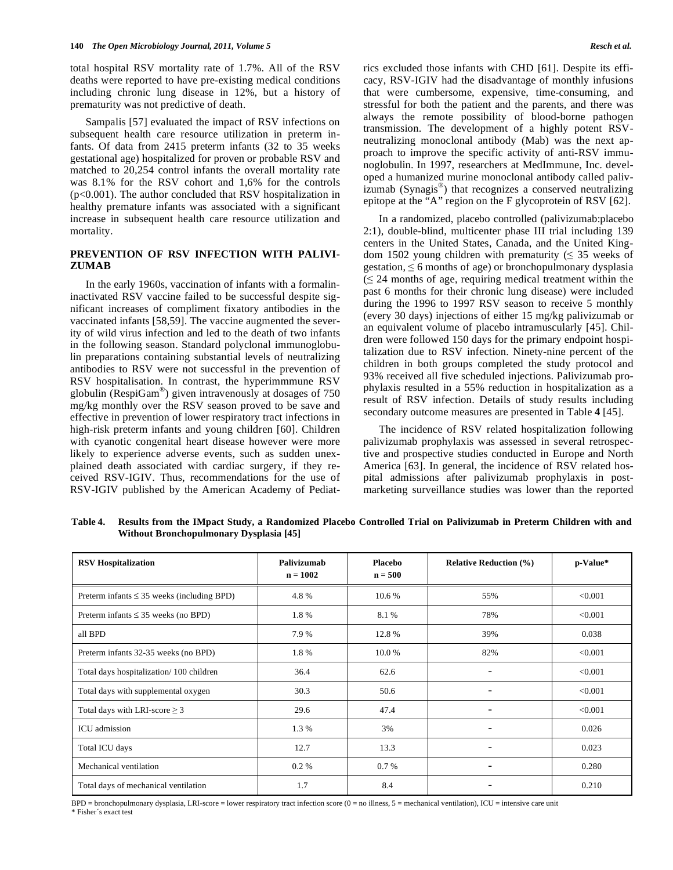total hospital RSV mortality rate of 1.7%. All of the RSV deaths were reported to have pre-existing medical conditions including chronic lung disease in 12%, but a history of prematurity was not predictive of death.

 Sampalis [57] evaluated the impact of RSV infections on subsequent health care resource utilization in preterm infants. Of data from 2415 preterm infants (32 to 35 weeks gestational age) hospitalized for proven or probable RSV and matched to 20,254 control infants the overall mortality rate was 8.1% for the RSV cohort and 1,6% for the controls (p<0.001). The author concluded that RSV hospitalization in healthy premature infants was associated with a significant increase in subsequent health care resource utilization and mortality.

# **PREVENTION OF RSV INFECTION WITH PALIVI-ZUMAB**

 In the early 1960s, vaccination of infants with a formalininactivated RSV vaccine failed to be successful despite significant increases of compliment fixatory antibodies in the vaccinated infants [58,59]. The vaccine augmented the severity of wild virus infection and led to the death of two infants in the following season. Standard polyclonal immunoglobulin preparations containing substantial levels of neutralizing antibodies to RSV were not successful in the prevention of RSV hospitalisation. In contrast, the hyperimmmune RSV globulin (RespiGam®) given intravenously at dosages of 750 mg/kg monthly over the RSV season proved to be save and effective in prevention of lower respiratory tract infections in high-risk preterm infants and young children [60]. Children with cyanotic congenital heart disease however were more likely to experience adverse events, such as sudden unexplained death associated with cardiac surgery, if they received RSV-IGIV. Thus, recommendations for the use of RSV-IGIV published by the American Academy of Pediatrics excluded those infants with CHD [61]. Despite its efficacy, RSV-IGIV had the disadvantage of monthly infusions that were cumbersome, expensive, time-consuming, and stressful for both the patient and the parents, and there was always the remote possibility of blood-borne pathogen transmission. The development of a highly potent RSVneutralizing monoclonal antibody (Mab) was the next approach to improve the specific activity of anti-RSV immunoglobulin. In 1997, researchers at MedImmune, Inc. developed a humanized murine monoclonal antibody called palivizumab (Synagis®) that recognizes a conserved neutralizing epitope at the "A" region on the F glycoprotein of RSV [62].

 In a randomized, placebo controlled (palivizumab:placebo 2:1), double-blind, multicenter phase III trial including 139 centers in the United States, Canada, and the United Kingdom 1502 young children with prematurity  $( \leq 35$  weeks of gestation,  $\leq 6$  months of age) or bronchopulmonary dysplasia  $\leq$  24 months of age, requiring medical treatment within the past 6 months for their chronic lung disease) were included during the 1996 to 1997 RSV season to receive 5 monthly (every 30 days) injections of either 15 mg/kg palivizumab or an equivalent volume of placebo intramuscularly [45]. Children were followed 150 days for the primary endpoint hospitalization due to RSV infection. Ninety-nine percent of the children in both groups completed the study protocol and 93% received all five scheduled injections. Palivizumab prophylaxis resulted in a 55% reduction in hospitalization as a result of RSV infection. Details of study results including secondary outcome measures are presented in Table **4** [45].

 The incidence of RSV related hospitalization following palivizumab prophylaxis was assessed in several retrospective and prospective studies conducted in Europe and North America [63]. In general, the incidence of RSV related hospital admissions after palivizumab prophylaxis in postmarketing surveillance studies was lower than the reported

**RSV** Hospitalization **Palivizumab n = 1002 Placebo n = 500 Relative Reduction (%) p-Value\***  Preterm infants  $\leq$  35 weeks (including BPD)  $4.8\%$  10.6 % 55% 55%  $< 0.001$ Preterm infants  $\leq$  35 weeks (no BPD) 1.8 % 8.1 % 78% 78%  $\leq$  0.001 all BPD 6.038 (a) 39% 12.8 % 39% 39% 39% 0.038 Preterm infants 32-35 weeks (no BPD) 1.8 % 10.0 % 10.0 % 82% 20.001 Total days hospitalization/ 100 children 36.4 62.6 - <0.001 Total days with supplemental oxygen  $30.3$   $50.6$   $$0.001$$ Total days with LRI-score  $\geq$  3 3 29.6 47.4 -  $\leq 0.001$ ICU admission 1.3 % 3% 3% - 0.026 Total ICU days 12.7 13.3 - 0.023 Mechanical ventilation  $0.2\%$   $0.7\%$  -  $0.280$ Total days of mechanical ventilation 1.7 8.4 - 0.210

**Table 4. Results from the IMpact Study, a Randomized Placebo Controlled Trial on Palivizumab in Preterm Children with and Without Bronchopulmonary Dysplasia [45]** 

BPD = bronchopulmonary dysplasia, LRI-score = lower respiratory tract infection score (0 = no illness, 5 = mechanical ventilation), ICU = intensive care unit \* Fisher´s exact test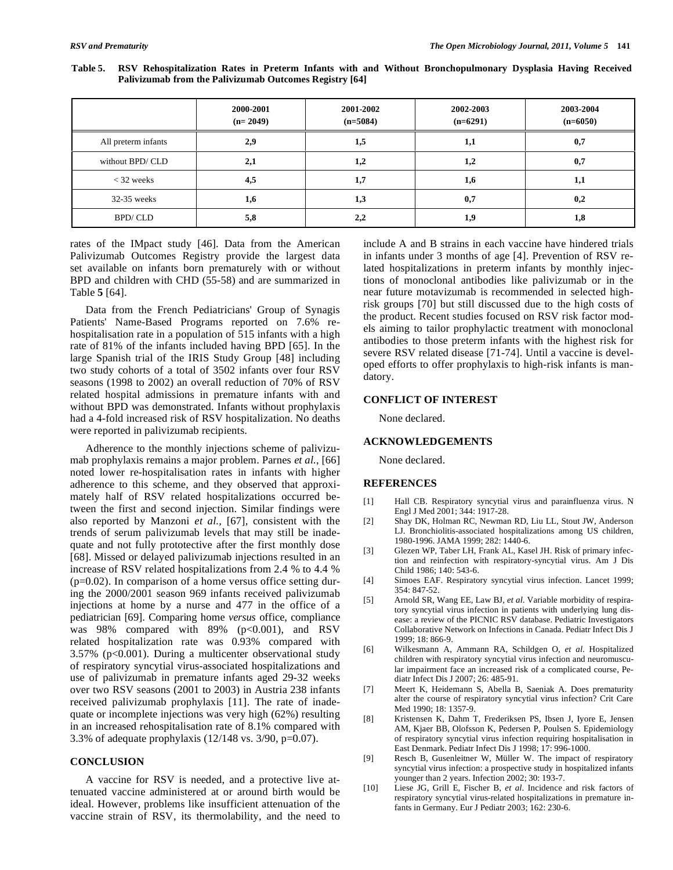|                     | 2000-2001<br>$(n=2049)$ | 2001-2002<br>$(n=5084)$ | 2002-2003<br>$(n=6291)$ | 2003-2004<br>$(n=6050)$ |
|---------------------|-------------------------|-------------------------|-------------------------|-------------------------|
| All preterm infants | 2,9                     | 1,5                     | 1,1                     | 0,7                     |
| without BPD/CLD     | 2,1                     | 1,2                     | 1,2                     | 0,7                     |
| $<$ 32 weeks        | 4,5                     | 1,7                     | 1,6                     | 1,1                     |
| $32-35$ weeks       | 1,6                     | 1,3                     | 0,7                     | 0,2                     |
| BPD/CLD             | 5,8                     | 2,2                     | 1,9                     | 1,8                     |

**Table 5. RSV Rehospitalization Rates in Preterm Infants with and Without Bronchopulmonary Dysplasia Having Received Palivizumab from the Palivizumab Outcomes Registry [64]** 

rates of the IMpact study [46]. Data from the American Palivizumab Outcomes Registry provide the largest data set available on infants born prematurely with or without BPD and children with CHD (55-58) and are summarized in Table **5** [64].

 Data from the French Pediatricians' Group of Synagis Patients' Name-Based Programs reported on 7.6% rehospitalisation rate in a population of 515 infants with a high rate of 81% of the infants included having BPD [65]. In the large Spanish trial of the IRIS Study Group [48] including two study cohorts of a total of 3502 infants over four RSV seasons (1998 to 2002) an overall reduction of 70% of RSV related hospital admissions in premature infants with and without BPD was demonstrated. Infants without prophylaxis had a 4-fold increased risk of RSV hospitalization. No deaths were reported in palivizumab recipients.

 Adherence to the monthly injections scheme of palivizumab prophylaxis remains a major problem. Parnes *et al*., [66] noted lower re-hospitalisation rates in infants with higher adherence to this scheme, and they observed that approximately half of RSV related hospitalizations occurred between the first and second injection. Similar findings were also reported by Manzoni *et al.,* [67], consistent with the trends of serum palivizumab levels that may still be inadequate and not fully prototective after the first monthly dose [68]. Missed or delayed palivizumab injections resulted in an increase of RSV related hospitalizations from 2.4 % to 4.4 %  $(p=0.02)$ . In comparison of a home versus office setting during the 2000/2001 season 969 infants received palivizumab injections at home by a nurse and 477 in the office of a pediatrician [69]. Comparing home *versus* office, compliance was  $98\%$  compared with  $89\%$  (p<0.001), and RSV related hospitalization rate was 0.93% compared with 3.57% (p<0.001). During a multicenter observational study of respiratory syncytial virus-associated hospitalizations and use of palivizumab in premature infants aged 29-32 weeks over two RSV seasons (2001 to 2003) in Austria 238 infants received palivizumab prophylaxis [11]. The rate of inadequate or incomplete injections was very high (62%) resulting in an increased rehospitalisation rate of 8.1% compared with 3.3% of adequate prophylaxis  $(12/148 \text{ vs. } 3/90, \text{ p=0.07}).$ 

## **CONCLUSION**

 A vaccine for RSV is needed, and a protective live attenuated vaccine administered at or around birth would be ideal. However, problems like insufficient attenuation of the vaccine strain of RSV, its thermolability, and the need to include A and B strains in each vaccine have hindered trials in infants under 3 months of age [4]. Prevention of RSV related hospitalizations in preterm infants by monthly injections of monoclonal antibodies like palivizumab or in the near future motavizumab is recommended in selected highrisk groups [70] but still discussed due to the high costs of the product. Recent studies focused on RSV risk factor models aiming to tailor prophylactic treatment with monoclonal antibodies to those preterm infants with the highest risk for severe RSV related disease [71-74]. Until a vaccine is developed efforts to offer prophylaxis to high-risk infants is mandatory.

#### **CONFLICT OF INTEREST**

None declared.

## **ACKNOWLEDGEMENTS**

None declared.

#### **REFERENCES**

- [1] Hall CB. Respiratory syncytial virus and parainfluenza virus. N Engl J Med 2001; 344: 1917-28.
- [2] Shay DK, Holman RC, Newman RD, Liu LL, Stout JW, Anderson LJ. Bronchiolitis-associated hospitalizations among US children, 1980-1996. JAMA 1999; 282: 1440-6.
- [3] Glezen WP, Taber LH, Frank AL, Kasel JH. Risk of primary infection and reinfection with respiratory-syncytial virus. Am J Dis Child 1986; 140: 543-6.
- [4] Simoes EAF. Respiratory syncytial virus infection. Lancet 1999; 354: 847-52.
- [5] Arnold SR, Wang EE, Law BJ, *et al*. Variable morbidity of respiratory syncytial virus infection in patients with underlying lung disease: a review of the PICNIC RSV database. Pediatric Investigators Collaborative Network on Infections in Canada. Pediatr Infect Dis J 1999; 18: 866-9.
- [6] Wilkesmann A, Ammann RA, Schildgen O, *et al*. Hospitalized children with respiratory syncytial virus infection and neuromuscular impairment face an increased risk of a complicated course, Pediatr Infect Dis J 2007; 26: 485-91.
- [7] Meert K, Heidemann S, Abella B, Saeniak A. Does prematurity alter the course of respiratory syncytial virus infection? Crit Care Med 1990; 18: 1357-9.
- [8] Kristensen K, Dahm T, Frederiksen PS, Ibsen J, Iyore E, Jensen AM, Kjaer BB, Olofsson K, Pedersen P, Poulsen S. Epidemiology of respiratory syncytial virus infection requiring hospitalisation in East Denmark. Pediatr Infect Dis J 1998; 17: 996-1000.
- [9] Resch B, Gusenleitner W, Müller W. The impact of respiratory syncytial virus infection: a prospective study in hospitalized infants younger than 2 years. Infection 2002; 30: 193-7.
- [10] Liese JG, Grill E, Fischer B, *et al*. Incidence and risk factors of respiratory syncytial virus-related hospitalizations in premature infants in Germany. Eur J Pediatr 2003; 162: 230-6.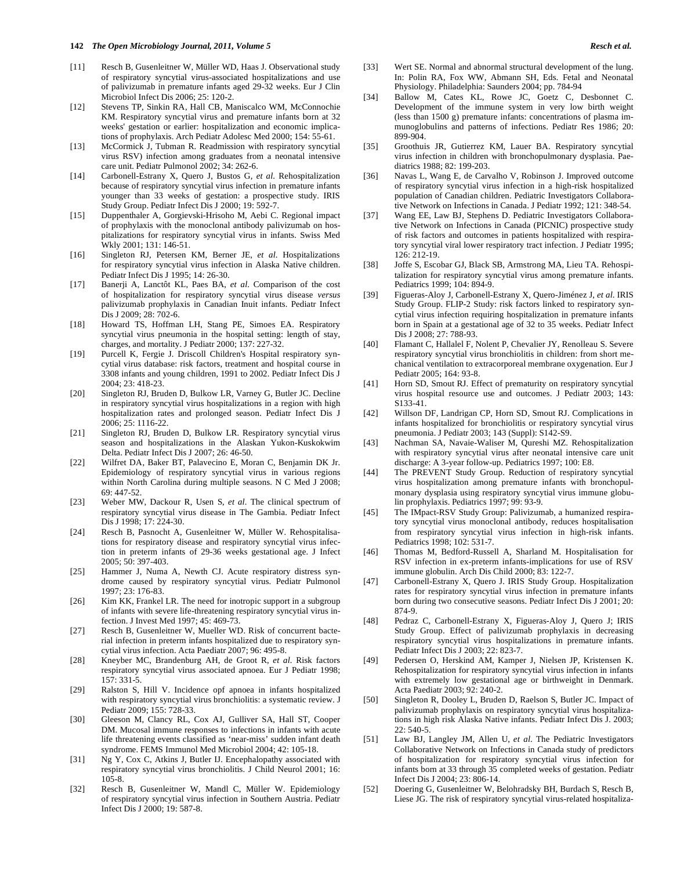- [11] Resch B, Gusenleitner W, Müller WD, Haas J. Observational study of respiratory syncytial virus-associated hospitalizations and use of palivizumab in premature infants aged 29-32 weeks. Eur J Clin Microbiol Infect Dis 2006; 25: 120-2.
- [12] Stevens TP, Sinkin RA, Hall CB, Maniscalco WM, McConnochie KM. Respiratory syncytial virus and premature infants born at 32 weeks' gestation or earlier: hospitalization and economic implications of prophylaxis. Arch Pediatr Adolesc Med 2000; 154: 55-61.
- [13] McCormick J, Tubman R. Readmission with respiratory syncytial virus RSV) infection among graduates from a neonatal intensive care unit. Pediatr Pulmonol 2002; 34: 262-6.
- [14] Carbonell-Estrany X, Quero J, Bustos G, *et al*. Rehospitalization because of respiratory syncytial virus infection in premature infants younger than 33 weeks of gestation: a prospective study. IRIS Study Group. Pediatr Infect Dis J 2000; 19: 592-7.
- [15] Duppenthaler A, Gorgievski-Hrisoho M, Aebi C. Regional impact of prophylaxis with the monoclonal antibody palivizumab on hospitalizations for respiratory syncytial virus in infants. Swiss Med Wkly 2001; 131: 146-51.
- [16] Singleton RJ, Petersen KM, Berner JE, *et al*. Hospitalizations for respiratory syncytial virus infection in Alaska Native children. Pediatr Infect Dis J 1995; 14: 26-30.
- [17] Banerji A, Lanctôt KL, Paes BA, *et al*. Comparison of the cost of hospitalization for respiratory syncytial virus disease *versus* palivizumab prophylaxis in Canadian Inuit infants. Pediatr Infect Dis J 2009; 28: 702-6.
- [18] Howard TS, Hoffman LH, Stang PE, Simoes EA. Respiratory syncytial virus pneumonia in the hospital setting: length of stay, charges, and mortality. J Pediatr 2000; 137: 227-32.
- [19] Purcell K, Fergie J. Driscoll Children's Hospital respiratory syncytial virus database: risk factors, treatment and hospital course in 3308 infants and young children, 1991 to 2002. Pediatr Infect Dis J 2004; 23: 418-23.
- [20] Singleton RJ, Bruden D, Bulkow LR, Varney G, Butler JC. Decline in respiratory syncytial virus hospitalizations in a region with high hospitalization rates and prolonged season. Pediatr Infect Dis J 2006; 25: 1116-22.
- [21] Singleton RJ, Bruden D, Bulkow LR. Respiratory syncytial virus season and hospitalizations in the Alaskan Yukon-Kuskokwim Delta. Pediatr Infect Dis J 2007; 26: 46-50.
- [22] Wilfret DA, Baker BT, Palavecino E, Moran C, Benjamin DK Jr. Epidemiology of respiratory syncytial virus in various regions within North Carolina during multiple seasons. N C Med J 2008; 69: 447-52.
- [23] Weber MW, Dackour R, Usen S, *et al*. The clinical spectrum of respiratory syncytial virus disease in The Gambia. Pediatr Infect Dis J 1998; 17: 224-30.
- [24] Resch B, Pasnocht A, Gusenleitner W, Müller W. Rehospitalisations for respiratory disease and respiratory syncytial virus infection in preterm infants of 29-36 weeks gestational age. J Infect 2005; 50: 397-403.
- [25] Hammer J, Numa A, Newth CJ. Acute respiratory distress syndrome caused by respiratory syncytial virus. Pediatr Pulmonol 1997; 23: 176-83.
- [26] Kim KK, Frankel LR. The need for inotropic support in a subgroup of infants with severe life-threatening respiratory syncytial virus infection. J Invest Med 1997; 45: 469-73.
- [27] Resch B, Gusenleitner W, Mueller WD. Risk of concurrent bacterial infection in preterm infants hospitalized due to respiratory syncytial virus infection. Acta Paediatr 2007; 96: 495-8.
- [28] Kneyber MC, Brandenburg AH, de Groot R, *et al*. Risk factors respiratory syncytial virus associated apnoea. Eur J Pediatr 1998; 157: 331-5.
- [29] Ralston S, Hill V. Incidence opf apnoea in infants hospitalized with respiratory syncytial virus bronchiolitis: a systematic review. J Pediatr 2009; 155: 728-33.
- [30] Gleeson M, Clancy RL, Cox AJ, Gulliver SA, Hall ST, Cooper DM. Mucosal immune responses to infections in infants with acute life threatening events classified as 'near-miss' sudden infant death syndrome. FEMS Immunol Med Microbiol 2004; 42: 105-18.
- [31] Ng Y, Cox C, Atkins J, Butler IJ. Encephalopathy associated with respiratory syncytial virus bronchiolitis. J Child Neurol 2001; 16: 105-8.
- [32] Resch B, Gusenleitner W, Mandl C, Müller W. Epidemiology of respiratory syncytial virus infection in Southern Austria. Pediatr Infect Dis J 2000; 19: 587-8.
- [33] Wert SE. Normal and abnormal structural development of the lung. In: Polin RA, Fox WW, Abmann SH, Eds. Fetal and Neonatal Physiology. Philadelphia: Saunders 2004; pp. 784-94
- [34] Ballow M, Cates KL, Rowe JC, Goetz C, Desbonnet C. Development of the immune system in very low birth weight (less than 1500 g) premature infants: concentrations of plasma immunoglobulins and patterns of infections. Pediatr Res 1986; 20: 899-904.
- [35] Groothuis JR, Gutierrez KM, Lauer BA. Respiratory syncytial virus infection in children with bronchopulmonary dysplasia. Paediatrics 1988; 82: 199-203.
- [36] Navas L, Wang E, de Carvalho V, Robinson J. Improved outcome of respiratory syncytial virus infection in a high-risk hospitalized population of Canadian children. Pediatric Investigators Collaborative Network on Infections in Canada. J Pediatr 1992; 121: 348-54.
- [37] Wang EE, Law BJ, Stephens D. Pediatric Investigators Collaborative Network on Infections in Canada (PICNIC) prospective study of risk factors and outcomes in patients hospitalized with respiratory syncytial viral lower respiratory tract infection. J Pediatr 1995; 126: 212-19.
- [38] Joffe S, Escobar GJ, Black SB, Armstrong MA, Lieu TA. Rehospitalization for respiratory syncytial virus among premature infants. Pediatrics 1999; 104: 894-9.
- [39] Figueras-Aloy J, Carbonell-Estrany X, Quero-Jiménez J, *et al*. IRIS Study Group. FLIP-2 Study: risk factors linked to respiratory syncytial virus infection requiring hospitalization in premature infants born in Spain at a gestational age of 32 to 35 weeks. Pediatr Infect Dis J 2008; 27: 788-93.
- [40] Flamant C, Hallalel F, Nolent P, Chevalier JY, Renolleau S. Severe respiratory syncytial virus bronchiolitis in children: from short mechanical ventilation to extracorporeal membrane oxygenation. Eur J Pediatr 2005; 164: 93-8.
- [41] Horn SD, Smout RJ. Effect of prematurity on respiratory syncytial virus hospital resource use and outcomes. J Pediatr 2003; 143: S133-41.
- [42] Willson DF, Landrigan CP, Horn SD, Smout RJ. Complications in infants hospitalized for bronchiolitis or respiratory syncytial virus pneumonia. J Pediatr 2003; 143 (Suppl): S142-S9.
- [43] Nachman SA, Navaie-Waliser M, Qureshi MZ. Rehospitalization with respiratory syncytial virus after neonatal intensive care unit discharge: A 3-year follow-up. Pediatrics 1997; 100: E8.
- [44] The PREVENT Study Group. Reduction of respiratory syncytial virus hospitalization among premature infants with bronchopulmonary dysplasia using respiratory syncytial virus immune globulin prophylaxis. Pediatrics 1997; 99: 93-9.
- [45] The IMpact-RSV Study Group: Palivizumab, a humanized respiratory syncytial virus monoclonal antibody, reduces hospitalisation from respiratory syncytial virus infection in high-risk infants. Pediatrics 1998; 102: 531-7.
- [46] Thomas M, Bedford-Russell A, Sharland M. Hospitalisation for RSV infection in ex-preterm infants-implications for use of RSV immune globulin. Arch Dis Child 2000; 83: 122-7.
- [47] Carbonell-Estrany X, Quero J. IRIS Study Group. Hospitalization rates for respiratory syncytial virus infection in premature infants born during two consecutive seasons. Pediatr Infect Dis J 2001; 20: 874-9.
- [48] Pedraz C, Carbonell-Estrany X, Figueras-Aloy J, Quero J; IRIS Study Group. Effect of palivizumab prophylaxis in decreasing respiratory syncytial virus hospitalizations in premature infants. Pediatr Infect Dis J 2003; 22: 823-7.
- [49] Pedersen O, Herskind AM, Kamper J, Nielsen JP, Kristensen K. Rehospitalization for respiratory syncytial virus infection in infants with extremely low gestational age or birthweight in Denmark. Acta Paediatr 2003; 92: 240-2.
- [50] Singleton R, Dooley L, Bruden D, Raelson S, Butler JC. Impact of palivizumab prophylaxis on respiratory syncytial virus hospitalizations in high risk Alaska Native infants. Pediatr Infect Dis J. 2003; 22: 540-5.
- [51] Law BJ, Langley JM, Allen U, *et al*. The Pediatric Investigators Collaborative Network on Infections in Canada study of predictors of hospitalization for respiratory syncytial virus infection for infants born at 33 through 35 completed weeks of gestation. Pediatr Infect Dis J 2004; 23: 806-14.
- [52] Doering G, Gusenleitner W, Belohradsky BH, Burdach S, Resch B, Liese JG. The risk of respiratory syncytial virus-related hospitaliza-